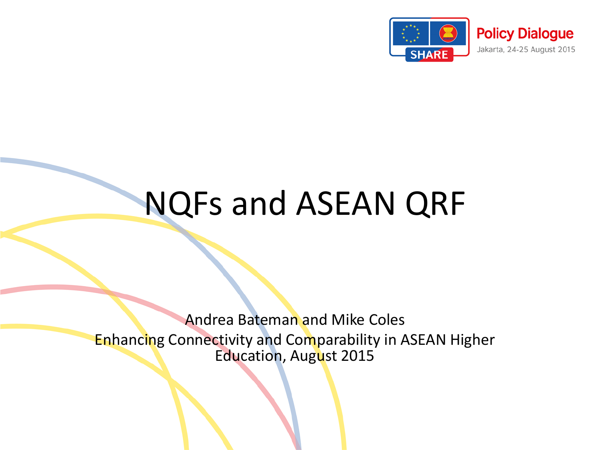

### NQFs and ASEAN QRF

Andrea Bateman and Mike Coles Enhancing Connectivity and Comparability in ASEAN Higher Education, August 2015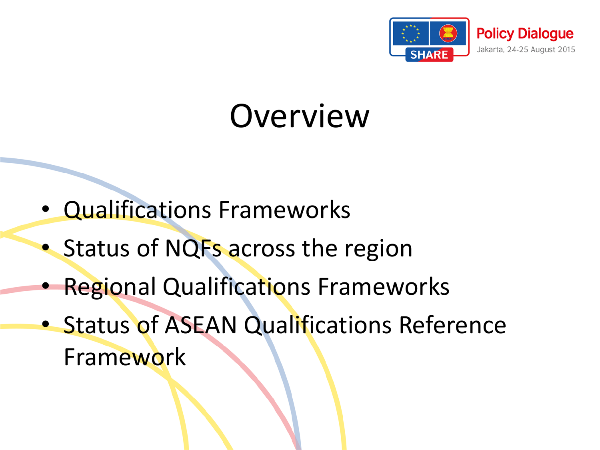

### Overview

- Qualifications Frameworks
- Status of NQFs across the region
- Regional Qualifications Frameworks
- Status of ASEAN Qualifications Reference Framework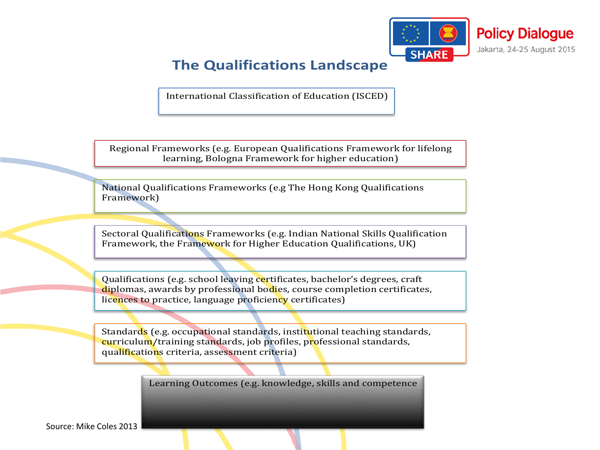

#### **The Qualifications Landscape**

International Classification of Education (ISCED)

Regional Frameworks (e.g. European Qualifications Framework for lifelong learning, Bologna Framework for higher education)

National Qualifications Frameworks (e.g The Hong Kong Qualifications Framework)

Sectoral Qualifications Frameworks (e.g. Indian National Skills Qualification Framework, the Framework for Higher Education Qualifications, UK)

Qualifications (e.g. school leaving certificates, bachelor's degrees, craft diplomas, awards by professional bodies, course completion certificates, licences to practice, language proficiency certificates)

Standards (e.g. occupational standards, institutional teaching standards, curriculum/training standards, job profiles, professional standards, qualifications criteria, assessment criteria)

Learning Outcomes (e.g. knowledge, skills and competence

Source: Mike Coles 2013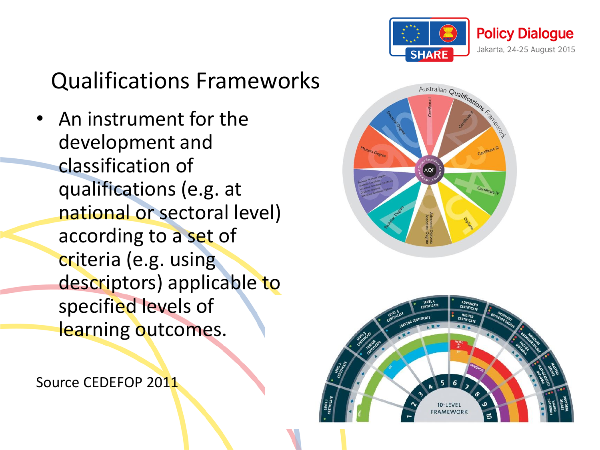

#### Qualifications Frameworks

• An instrument for the development and classification of qualifications (e.g. at national or sectoral level) according to a set of criteria (e.g. using descriptors) applicable to specified levels of learning outcomes.

Source CEDEFOP 2011



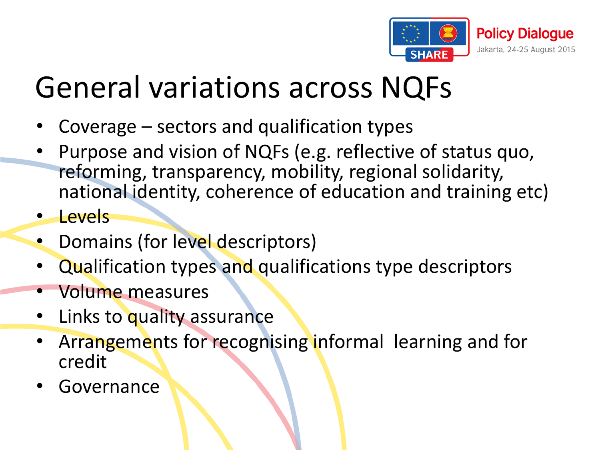

### General variations across NQFs

- Coverage sectors and qualification types
- Purpose and vision of NQFs (e.g. reflective of status quo, reforming, transparency, mobility, regional solidarity, national identity, coherence of education and training etc)
- Levels
- Domains (for level descriptors)
- Qualification types and qualifications type descriptors
- Volume measures
- Links to quality assurance
- Arrangements for recognising informal learning and for credit
- **Governance**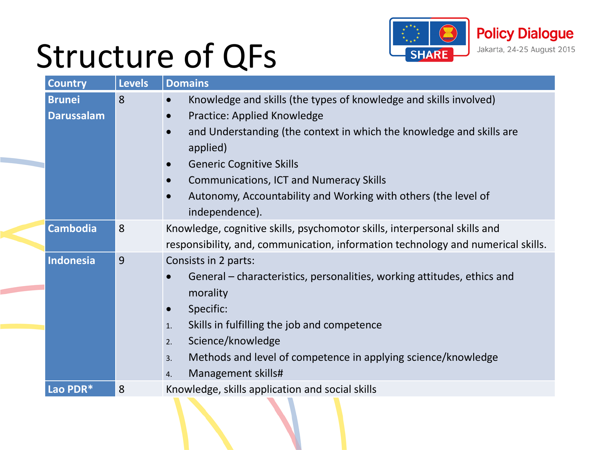## Structure of QFs



| <b>Country</b>                     | <b>Levels</b> | <b>Domains</b>                                                                                                                                                                                                                                                                                                                                                |
|------------------------------------|---------------|---------------------------------------------------------------------------------------------------------------------------------------------------------------------------------------------------------------------------------------------------------------------------------------------------------------------------------------------------------------|
| <b>Brunei</b><br><b>Darussalam</b> | 8             | Knowledge and skills (the types of knowledge and skills involved)<br>Practice: Applied Knowledge<br>and Understanding (the context in which the knowledge and skills are<br>applied)<br><b>Generic Cognitive Skills</b><br><b>Communications, ICT and Numeracy Skills</b><br>Autonomy, Accountability and Working with others (the level of<br>independence). |
| <b>Cambodia</b>                    | 8             | Knowledge, cognitive skills, psychomotor skills, interpersonal skills and<br>responsibility, and, communication, information technology and numerical skills.                                                                                                                                                                                                 |
| <b>Indonesia</b>                   | 9             | Consists in 2 parts:<br>General – characteristics, personalities, working attitudes, ethics and<br>morality<br>Specific:<br>Skills in fulfilling the job and competence<br>1.<br>Science/knowledge<br>2.<br>Methods and level of competence in applying science/knowledge<br>3.<br>Management skills#<br>4.                                                   |
| Lao PDR*                           | 8             | Knowledge, skills application and social skills                                                                                                                                                                                                                                                                                                               |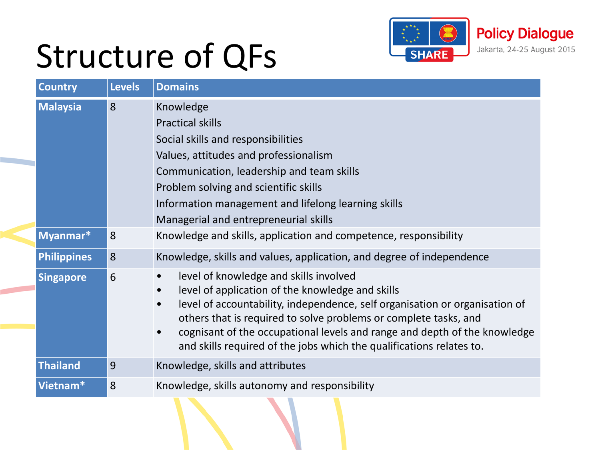

## Structure of QFs

| <b>Country</b>     | <b>Levels</b> | <b>Domains</b>                                                                                                                                                                                                                                                                                                                                                                                                                            |
|--------------------|---------------|-------------------------------------------------------------------------------------------------------------------------------------------------------------------------------------------------------------------------------------------------------------------------------------------------------------------------------------------------------------------------------------------------------------------------------------------|
| <b>Malaysia</b>    | 8             | Knowledge<br><b>Practical skills</b><br>Social skills and responsibilities<br>Values, attitudes and professionalism<br>Communication, leadership and team skills<br>Problem solving and scientific skills<br>Information management and lifelong learning skills<br>Managerial and entrepreneurial skills                                                                                                                                 |
| Myanmar*           | 8             | Knowledge and skills, application and competence, responsibility                                                                                                                                                                                                                                                                                                                                                                          |
| <b>Philippines</b> | 8             | Knowledge, skills and values, application, and degree of independence                                                                                                                                                                                                                                                                                                                                                                     |
| <b>Singapore</b>   | 6             | level of knowledge and skills involved<br>level of application of the knowledge and skills<br>$\bullet$<br>level of accountability, independence, self organisation or organisation of<br>$\bullet$<br>others that is required to solve problems or complete tasks, and<br>cognisant of the occupational levels and range and depth of the knowledge<br>$\bullet$<br>and skills required of the jobs which the qualifications relates to. |
| <b>Thailand</b>    | 9             | Knowledge, skills and attributes                                                                                                                                                                                                                                                                                                                                                                                                          |
| Vietnam*           | 8             | Knowledge, skills autonomy and responsibility                                                                                                                                                                                                                                                                                                                                                                                             |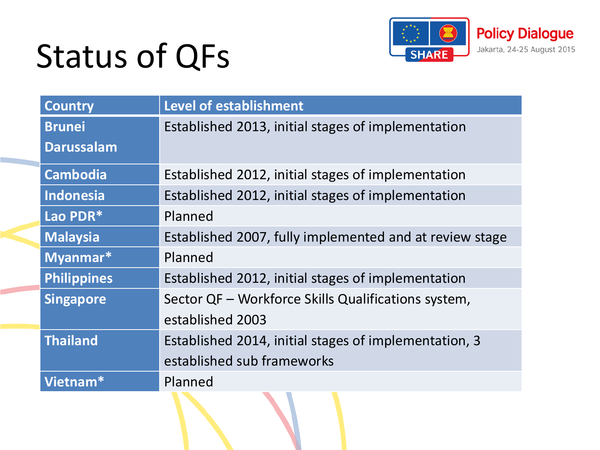# Status of QFs



| <b>Country</b>     | <b>Level of establishment</b>                           |
|--------------------|---------------------------------------------------------|
| <b>Brunei</b>      | Established 2013, initial stages of implementation      |
| <b>Darussalam</b>  |                                                         |
| <b>Cambodia</b>    | Established 2012, initial stages of implementation      |
| <b>Indonesia</b>   | Established 2012, initial stages of implementation      |
| Lao PDR*           | Planned                                                 |
| <b>Malaysia</b>    | Established 2007, fully implemented and at review stage |
| Myanmar*           | Planned                                                 |
| <b>Philippines</b> | Established 2012, initial stages of implementation      |
| <b>Singapore</b>   | Sector QF - Workforce Skills Qualifications system,     |
|                    | established 2003                                        |
| <b>Thailand</b>    | Established 2014, initial stages of implementation, 3   |
|                    | established sub frameworks                              |
| Vietnam*           | Planned                                                 |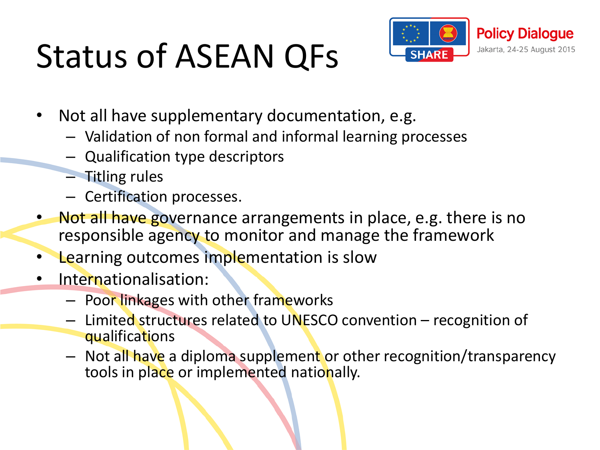# Status of ASEAN QFs



- Not all have supplementary documentation, e.g.
	- Validation of non formal and informal learning processes
	- Qualification type descriptors
	- Titling rules
	- Certification processes.
- Not all have governance arrangements in place, e.g. there is no responsible agency to monitor and manage the framework
- Learning outcomes implementation is slow
- Internationalisation:
	- Poor linkages with other frameworks
	- Limited structures related to UNESCO convention recognition of qualifications
	- Not all have a diploma supplement or other recognition/transparency tools in place or implemented nationally.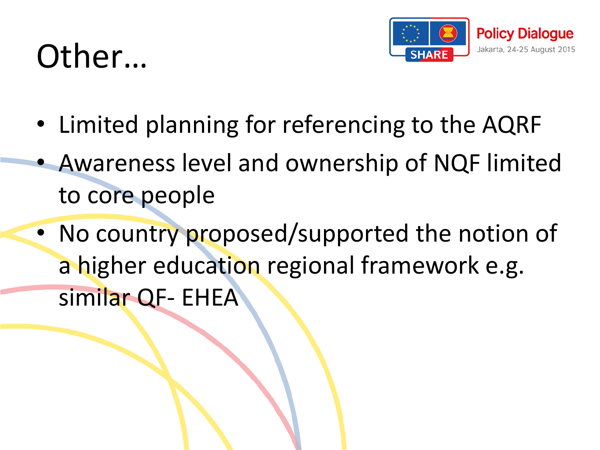### Other…



- Limited planning for referencing to the AQRF
- Awareness level and ownership of NQF limited to core people
- No country proposed/supported the notion of a higher education regional framework e.g. similar QF- EHEA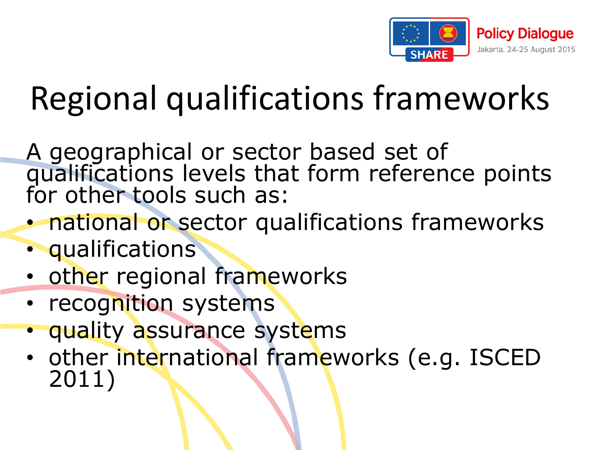

# Regional qualifications frameworks

A geographical or sector based set of qualifications levels that form reference points for other tools such as:

- national or sector qualifications frameworks
- qualifications
- other regional frameworks
- recognition systems
- quality assurance systems
- other international frameworks (e.g. ISCED 2011)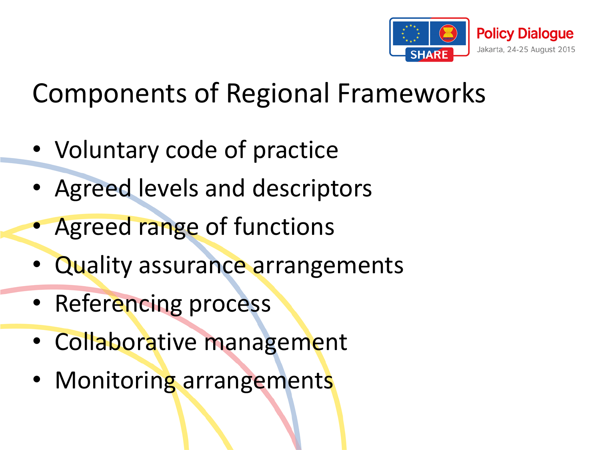

### Components of Regional Frameworks

- Voluntary code of practice
- Agreed levels and descriptors
- Agreed range of functions
- Quality assurance arrangements
- Referencing process
- Collaborative management
- Monitoring arrangements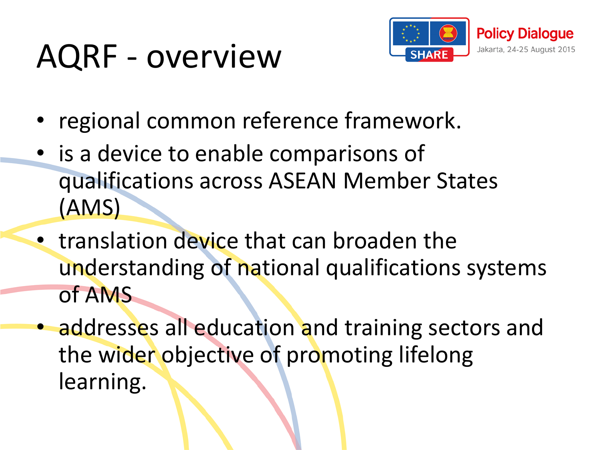### AQRF - overview



- regional common reference framework.
- is a device to enable comparisons of qualifications across ASEAN Member States (AMS)
- translation device that can broaden the understanding of national qualifications systems of AMS
- addresses all education and training sectors and the wider objective of promoting lifelong learning.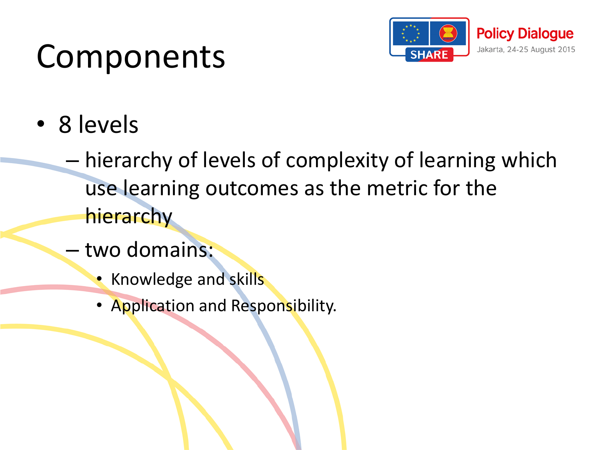### Components



- 8 levels
	- hierarchy of levels of complexity of learning which use learning outcomes as the metric for the hierarchy
	- two domains:
		- Knowledge and skills
		- Application and Responsibility.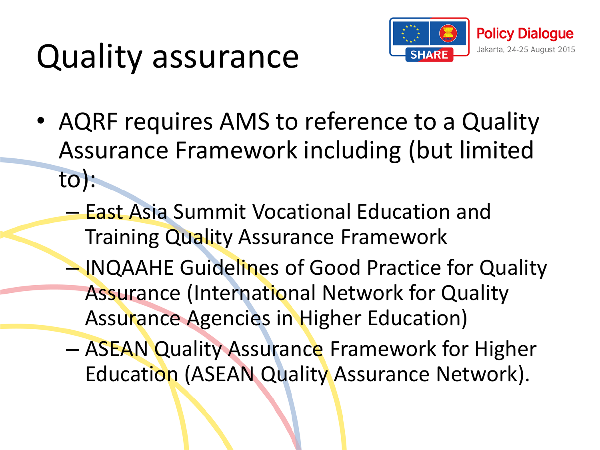# Quality assurance



- AQRF requires AMS to reference to a Quality Assurance Framework including (but limited to):
	- East Asia Summit Vocational Education and **Training Quality Assurance Framework**
	- INQAAHE Guidelines of Good Practice for Quality Assurance (International Network for Quality Assurance Agencies in Higher Education)
	- ASEAN Quality Assurance Framework for Higher Education (ASEAN Quality Assurance Network).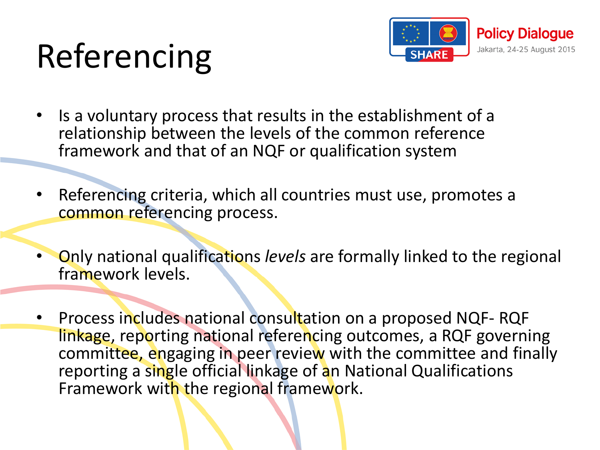# Referencing



- Is a voluntary process that results in the establishment of a relationship between the levels of the common reference framework and that of an NQF or qualification system
- Referencing criteria, which all countries must use, promotes a common referencing process.
- Only national qualifications *levels* are formally linked to the regional framework levels.
- Process includes national consultation on a proposed NQF- RQF linkage, reporting national referencing outcomes, a RQF governing committee, engaging in peer review with the committee and finally reporting a single official linkage of an National Qualifications Framework with the regional framework.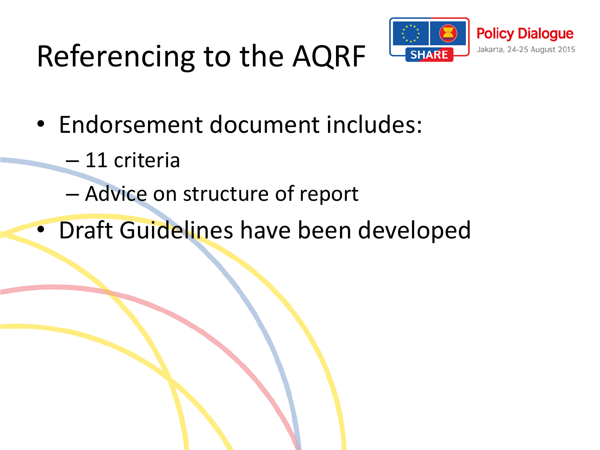### Referencing to the AQRF



- Endorsement document includes:
	- 11 criteria
	- Advice on structure of report
- Draft Guidelines have been developed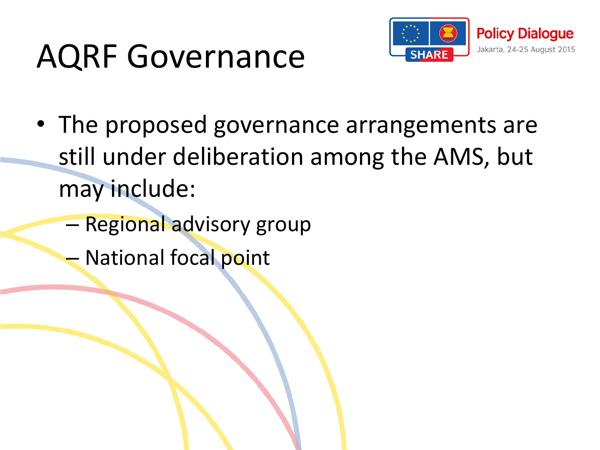## AQRF Governance



- The proposed governance arrangements are still under deliberation among the AMS, but may include:
	- Regional advisory group
	- National focal point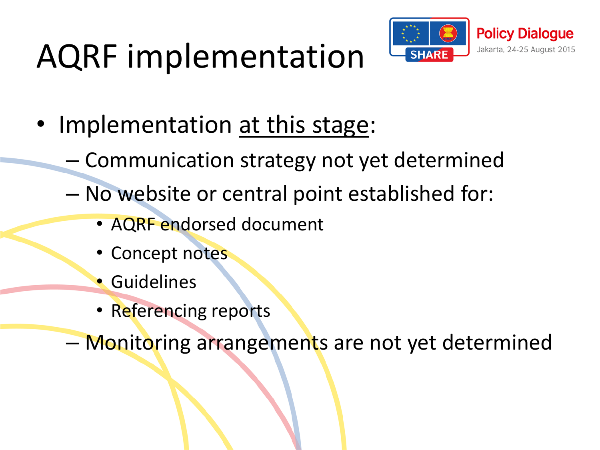# AQRF implementation



- Implementation at this stage:
	- Communication strategy not yet determined
	- No website or central point established for:
		- AQRF endorsed document
		- Concept notes
		- Guidelines
		- Referencing reports

– Monitoring arrangements are not yet determined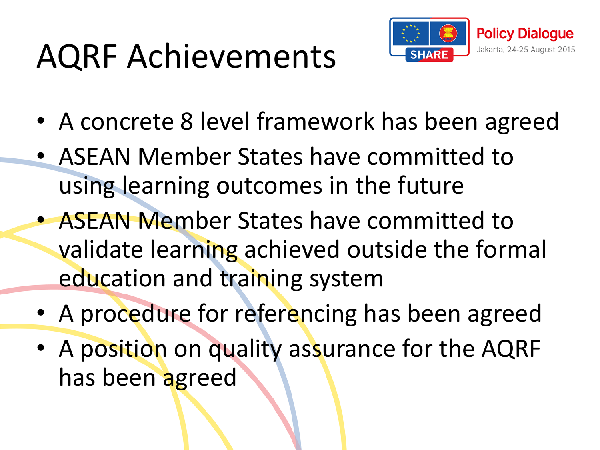# AQRF Achievements



- A concrete 8 level framework has been agreed
- ASEAN Member States have committed to using learning outcomes in the future
- ASEAN Member States have committed to validate learning achieved outside the formal education and training system
- A procedure for referencing has been agreed
- A position on quality assurance for the AQRF has been agreed